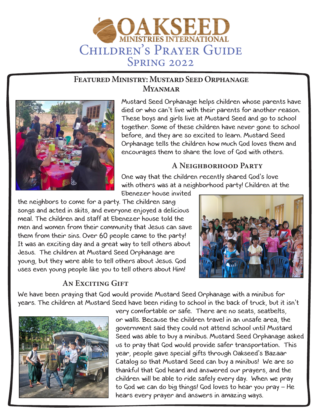

# **Featured Ministry: Mustard Seed Orphanage Myanmar**



Mustard Seed Orphanage helps children whose parents have died or who can't live with their parents for another reason. These boys and girls live at Mustard Seed and go to school together. Some of these children have never gone to school before, and they are so excited to learn. Mustard Seed Orphanage tells the children how much God loves them and encourages them to share the love of God with others.

# **A Neighborhood Party**

One way that the children recently shared God's love with others was at a neighborhood party! Children at the

Ebenezer house invited

the neighbors to come for a party. The children sang songs and acted in skits, and everyone enjoyed a delicious meal. The children and staff at Ebenezer house told the men and women from their community that Jesus can save them from their sins. Over 60 people came to the party! It was an exciting day and a great way to tell others about Jesus. The children at Mustard Seed Orphanage are young, but they were able to tell others about Jesus. God uses even young people like you to tell others about Him!



# **An Exciting Gift**

We have been praying that God would provide Mustard Seed Orphanage with a minibus for years. The children at Mustard Seed have been riding to school in the back of truck, but it isn't



very comfortable or safe. There are no seats, seatbelts, or walls. Because the children travel in an unsafe area, the government said they could not attend school until Mustard Seed was able to buy a minibus. Mustard Seed Orphanage asked us to pray that God would provide safer transportation. This year, people gave special gifts through Oakseed's Bazaar Catalog so that Mustard Seed can buy a minibus! We are so thankful that God heard and answered our prayers, and the children will be able to ride safely every day. When we pray to God we can do big things! God loves to hear you pray – He hears every prayer and answers in amazing ways.